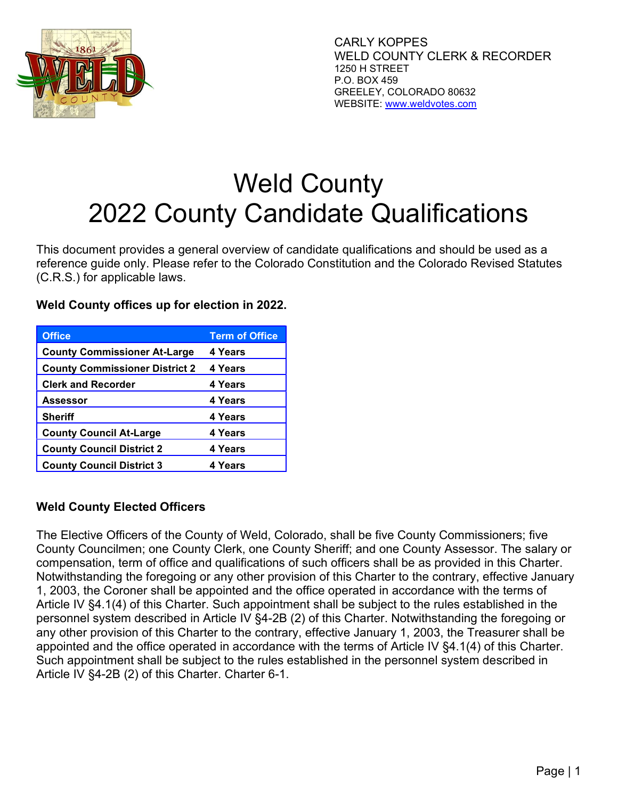

# Weld County 2022 County Candidate Qualifications

This document provides a general overview of candidate qualifications and should be used as a reference guide only. Please refer to the Colorado Constitution and the Colorado Revised Statutes (C.R.S.) for applicable laws.

| <b>Office</b>                         | <b>Term of Office</b> |
|---------------------------------------|-----------------------|
| <b>County Commissioner At-Large</b>   | 4 Years               |
| <b>County Commissioner District 2</b> | 4 Years               |
| <b>Clerk and Recorder</b>             | 4 Years               |
| Assessor                              | 4 Years               |
| <b>Sheriff</b>                        | 4 Years               |
| <b>County Council At-Large</b>        | 4 Years               |
| <b>County Council District 2</b>      | 4 Years               |
| <b>County Council District 3</b>      | 4 Years               |

Weld County offices up for election in 2022.

# Weld County Elected Officers

The Elective Officers of the County of Weld, Colorado, shall be five County Commissioners; five County Councilmen; one County Clerk, one County Sheriff; and one County Assessor. The salary or compensation, term of office and qualifications of such officers shall be as provided in this Charter. Notwithstanding the foregoing or any other provision of this Charter to the contrary, effective January 1, 2003, the Coroner shall be appointed and the office operated in accordance with the terms of Article IV §4.1(4) of this Charter. Such appointment shall be subject to the rules established in the personnel system described in Article IV §4-2B (2) of this Charter. Notwithstanding the foregoing or any other provision of this Charter to the contrary, effective January 1, 2003, the Treasurer shall be appointed and the office operated in accordance with the terms of Article IV §4.1(4) of this Charter. Such appointment shall be subject to the rules established in the personnel system described in Article IV §4-2B (2) of this Charter. Charter 6-1.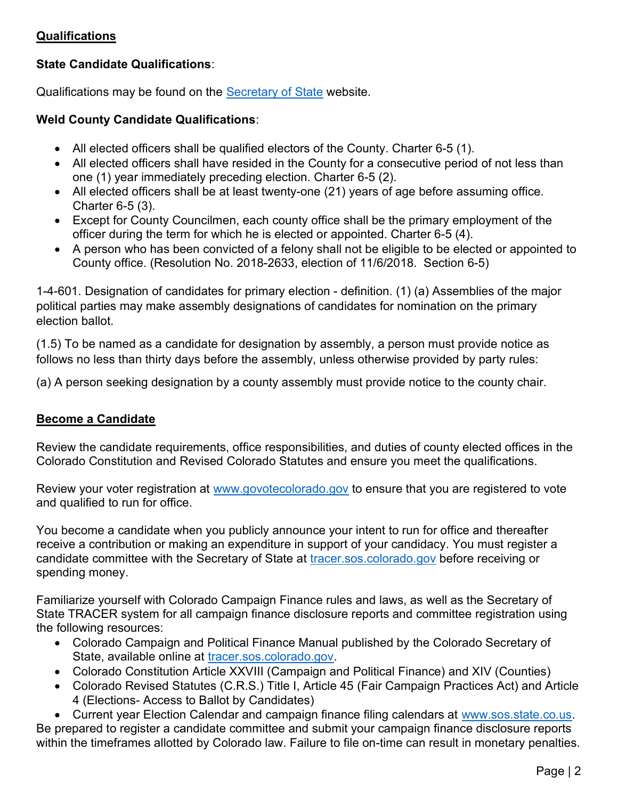# **Qualifications**

# State Candidate Qualifications:

Qualifications may be found on the Secretary of State website.

## Weld County Candidate Qualifications:

- All elected officers shall be qualified electors of the County. Charter 6-5 (1).
- All elected officers shall have resided in the County for a consecutive period of not less than one (1) year immediately preceding election. Charter 6-5 (2).
- All elected officers shall be at least twenty-one (21) years of age before assuming office. Charter 6-5 (3).
- Except for County Councilmen, each county office shall be the primary employment of the officer during the term for which he is elected or appointed. Charter 6-5 (4).
- A person who has been convicted of a felony shall not be eligible to be elected or appointed to County office. (Resolution No. 2018-2633, election of 11/6/2018. Section 6-5)

1-4-601. Designation of candidates for primary election - definition. (1) (a) Assemblies of the major political parties may make assembly designations of candidates for nomination on the primary election ballot.

(1.5) To be named as a candidate for designation by assembly, a person must provide notice as follows no less than thirty days before the assembly, unless otherwise provided by party rules:

(a) A person seeking designation by a county assembly must provide notice to the county chair.

## Become a Candidate

Review the candidate requirements, office responsibilities, and duties of county elected offices in the Colorado Constitution and Revised Colorado Statutes and ensure you meet the qualifications.

Review your voter registration at www.govotecolorado.gov to ensure that you are registered to vote and qualified to run for office.

You become a candidate when you publicly announce your intent to run for office and thereafter receive a contribution or making an expenditure in support of your candidacy. You must register a candidate committee with the Secretary of State at tracer.sos.colorado.gov before receiving or spending money.

Familiarize yourself with Colorado Campaign Finance rules and laws, as well as the Secretary of State TRACER system for all campaign finance disclosure reports and committee registration using the following resources:

- Colorado Campaign and Political Finance Manual published by the Colorado Secretary of State, available online at tracer.sos.colorado.gov.
- Colorado Constitution Article XXVIII (Campaign and Political Finance) and XIV (Counties)
- Colorado Revised Statutes (C.R.S.) Title I, Article 45 (Fair Campaign Practices Act) and Article 4 (Elections- Access to Ballot by Candidates)

 Current year Election Calendar and campaign finance filing calendars at www.sos.state.co.us. Be prepared to register a candidate committee and submit your campaign finance disclosure reports within the timeframes allotted by Colorado law. Failure to file on-time can result in monetary penalties.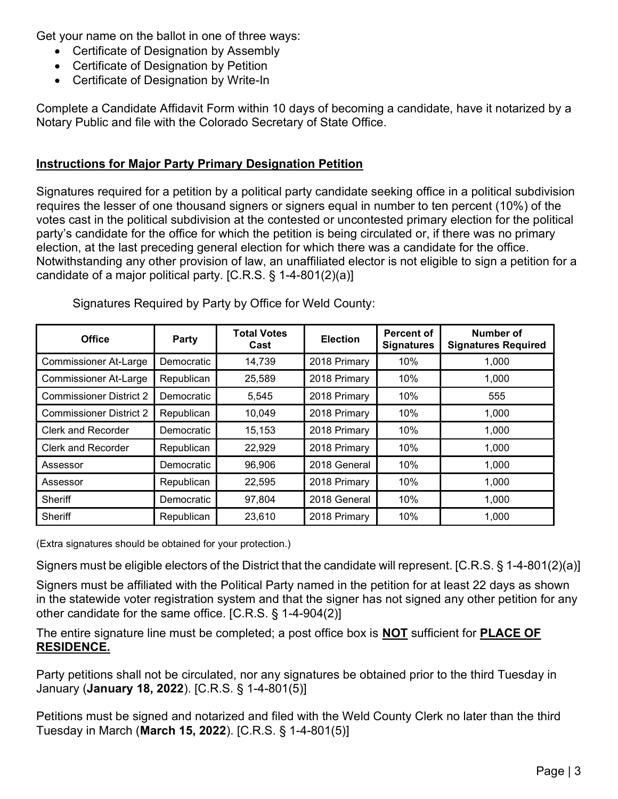Get your name on the ballot in one of three ways:

- Certificate of Designation by Assembly
- Certificate of Designation by Petition
- Certificate of Designation by Write-In

Complete a Candidate Affidavit Form within 10 days of becoming a candidate, have it notarized by a Notary Public and file with the Colorado Secretary of State Office.

# Instructions for Major Party Primary Designation Petition

Signatures required for a petition by a political party candidate seeking office in a political subdivision requires the lesser of one thousand signers or signers equal in number to ten percent (10%) of the votes cast in the political subdivision at the contested or uncontested primary election for the political party's candidate for the office for which the petition is being circulated or, if there was no primary election, at the last preceding general election for which there was a candidate for the office. Notwithstanding any other provision of law, an unaffiliated elector is not eligible to sign a petition for a candidate of a major political party. [C.R.S. § 1-4-801(2)(a)]

| <b>Office</b>                  | Party      | <b>Total Votes</b><br>Cast | <b>Election</b> | <b>Percent of</b><br><b>Signatures</b> | Number of<br><b>Signatures Required</b> |
|--------------------------------|------------|----------------------------|-----------------|----------------------------------------|-----------------------------------------|
| <b>Commissioner At-Large</b>   | Democratic | 14,739                     | 2018 Primary    | 10%                                    | 1,000                                   |
| <b>Commissioner At-Large</b>   | Republican | 25,589                     | 2018 Primary    | 10%                                    | 1,000                                   |
| <b>Commissioner District 2</b> | Democratic | 5,545                      | 2018 Primary    | 10%                                    | 555                                     |
| <b>Commissioner District 2</b> | Republican | 10,049                     | 2018 Primary    | 10%                                    | 1,000                                   |
| <b>Clerk and Recorder</b>      | Democratic | 15,153                     | 2018 Primary    | 10%                                    | 1,000                                   |
| <b>Clerk and Recorder</b>      | Republican | 22,929                     | 2018 Primary    | 10%                                    | 1,000                                   |
| Assessor                       | Democratic | 96,906                     | 2018 General    | 10%                                    | 1,000                                   |
| Assessor                       | Republican | 22,595                     | 2018 Primary    | 10%                                    | 1,000                                   |
| <b>Sheriff</b>                 | Democratic | 97,804                     | 2018 General    | 10%                                    | 1,000                                   |
| Sheriff                        | Republican | 23,610                     | 2018 Primary    | 10%                                    | 1,000                                   |

Signatures Required by Party by Office for Weld County:

(Extra signatures should be obtained for your protection.)

Signers must be eligible electors of the District that the candidate will represent. [C.R.S. § 1-4-801(2)(a)]

Signers must be affiliated with the Political Party named in the petition for at least 22 days as shown in the statewide voter registration system and that the signer has not signed any other petition for any other candidate for the same office. [C.R.S. § 1-4-904(2)]

The entire signature line must be completed; a post office box is **NOT** sufficient for **PLACE OF** RESIDENCE.

Party petitions shall not be circulated, nor any signatures be obtained prior to the third Tuesday in January (January 18, 2022). [C.R.S. § 1-4-801(5)]

Petitions must be signed and notarized and filed with the Weld County Clerk no later than the third Tuesday in March (March 15, 2022). [C.R.S. § 1-4-801(5)]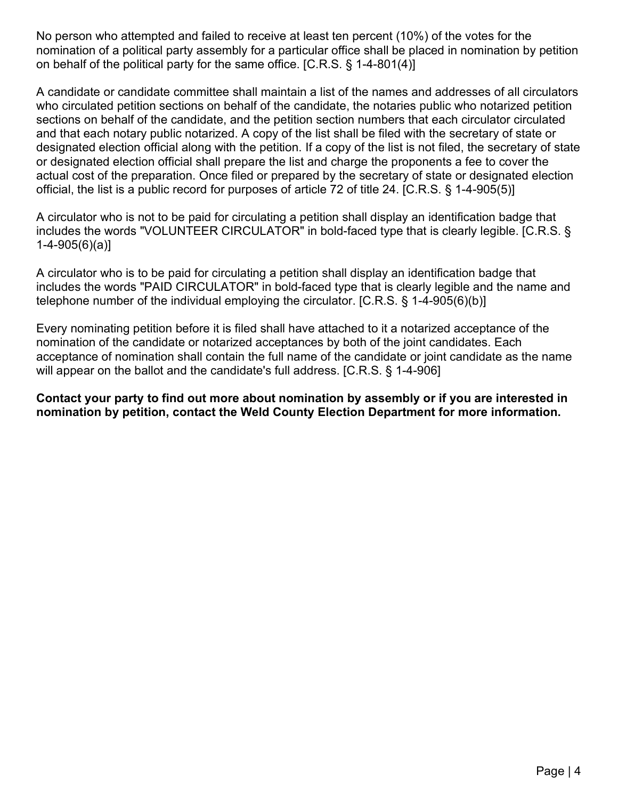No person who attempted and failed to receive at least ten percent (10%) of the votes for the nomination of a political party assembly for a particular office shall be placed in nomination by petition on behalf of the political party for the same office. [C.R.S. § 1-4-801(4)]

A candidate or candidate committee shall maintain a list of the names and addresses of all circulators who circulated petition sections on behalf of the candidate, the notaries public who notarized petition sections on behalf of the candidate, and the petition section numbers that each circulator circulated and that each notary public notarized. A copy of the list shall be filed with the secretary of state or designated election official along with the petition. If a copy of the list is not filed, the secretary of state or designated election official shall prepare the list and charge the proponents a fee to cover the actual cost of the preparation. Once filed or prepared by the secretary of state or designated election official, the list is a public record for purposes of article 72 of title 24. [C.R.S. § 1-4-905(5)]

A circulator who is not to be paid for circulating a petition shall display an identification badge that includes the words "VOLUNTEER CIRCULATOR" in bold-faced type that is clearly legible. [C.R.S. § 1-4-905(6)(a)]

A circulator who is to be paid for circulating a petition shall display an identification badge that includes the words "PAID CIRCULATOR" in bold-faced type that is clearly legible and the name and telephone number of the individual employing the circulator. [C.R.S. § 1-4-905(6)(b)]

Every nominating petition before it is filed shall have attached to it a notarized acceptance of the nomination of the candidate or notarized acceptances by both of the joint candidates. Each acceptance of nomination shall contain the full name of the candidate or joint candidate as the name will appear on the ballot and the candidate's full address. [C.R.S. § 1-4-906]

Contact your party to find out more about nomination by assembly or if you are interested in nomination by petition, contact the Weld County Election Department for more information.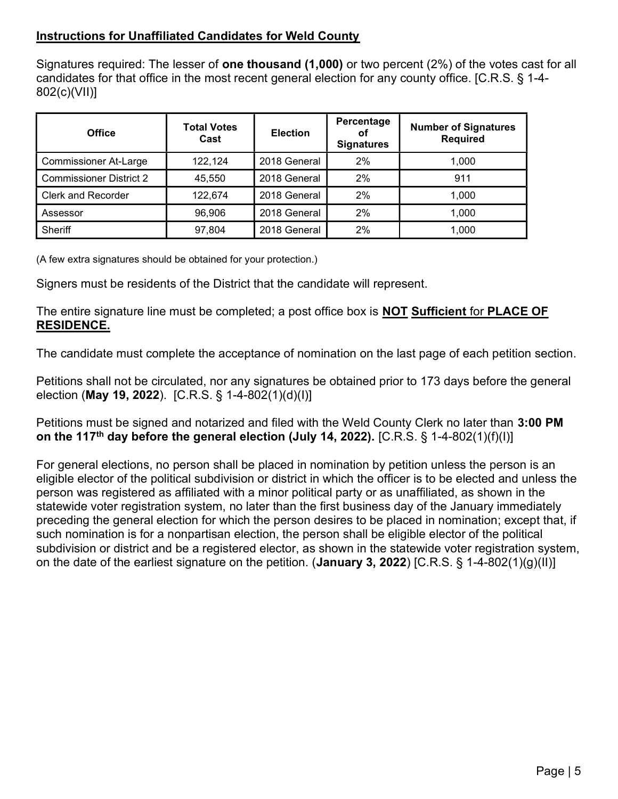# Instructions for Unaffiliated Candidates for Weld County

Signatures required: The lesser of **one thousand (1,000)** or two percent (2%) of the votes cast for all candidates for that office in the most recent general election for any county office. [C.R.S. § 1-4- 802(c)(VII)]

| <b>Office</b>                  | <b>Total Votes</b><br>Cast | <b>Election</b> | Percentage<br>Οf<br><b>Signatures</b> | <b>Number of Signatures</b><br><b>Required</b> |
|--------------------------------|----------------------------|-----------------|---------------------------------------|------------------------------------------------|
| <b>Commissioner At-Large</b>   | 122,124                    | 2018 General    | $2\%$                                 | 1,000                                          |
| <b>Commissioner District 2</b> | 45,550                     | 2018 General    | $2\%$                                 | 911                                            |
| <b>Clerk and Recorder</b>      | 122,674                    | 2018 General    | $2\%$                                 | 1.000                                          |
| Assessor                       | 96,906                     | 2018 General    | $2\%$                                 | 1.000                                          |
| Sheriff                        | 97,804                     | 2018 General    | $2\%$                                 | 1,000                                          |

(A few extra signatures should be obtained for your protection.)

Signers must be residents of the District that the candidate will represent.

The entire signature line must be completed; a post office box is **NOT Sufficient** for **PLACE OF** RESIDENCE.

The candidate must complete the acceptance of nomination on the last page of each petition section.

Petitions shall not be circulated, nor any signatures be obtained prior to 173 days before the general election (May 19, 2022). [C.R.S. § 1-4-802(1)(d)(I)]

Petitions must be signed and notarized and filed with the Weld County Clerk no later than 3:00 PM on the 117<sup>th</sup> day before the general election (July 14, 2022). [C.R.S. § 1-4-802(1)(f)(l)]

For general elections, no person shall be placed in nomination by petition unless the person is an eligible elector of the political subdivision or district in which the officer is to be elected and unless the person was registered as affiliated with a minor political party or as unaffiliated, as shown in the statewide voter registration system, no later than the first business day of the January immediately preceding the general election for which the person desires to be placed in nomination; except that, if such nomination is for a nonpartisan election, the person shall be eligible elector of the political subdivision or district and be a registered elector, as shown in the statewide voter registration system, on the date of the earliest signature on the petition. (January 3, 2022) [C.R.S. § 1-4-802(1)(g)(II)]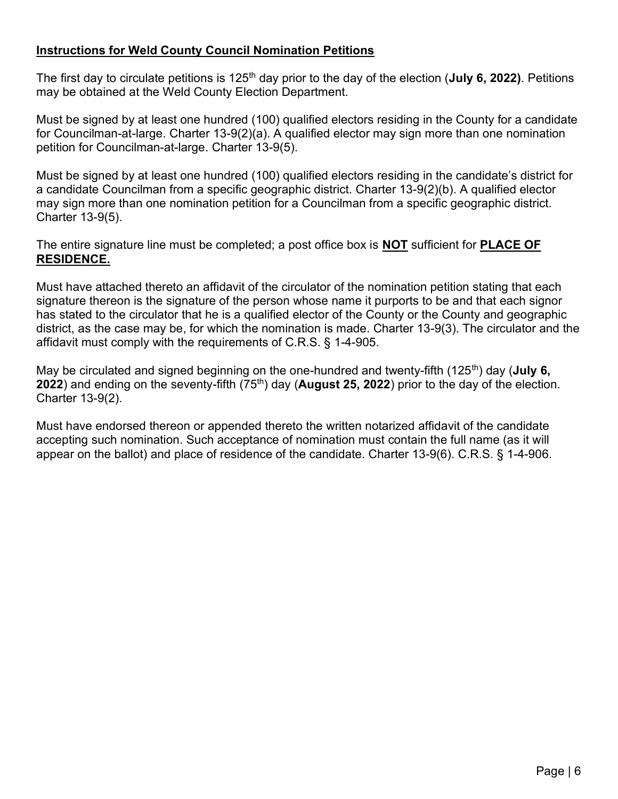## Instructions for Weld County Council Nomination Petitions

The first day to circulate petitions is 125<sup>th</sup> day prior to the day of the election (**July 6, 2022**). Petitions may be obtained at the Weld County Election Department.

Must be signed by at least one hundred (100) qualified electors residing in the County for a candidate for Councilman-at-large. Charter 13-9(2)(a). A qualified elector may sign more than one nomination petition for Councilman-at-large. Charter 13-9(5).

Must be signed by at least one hundred (100) qualified electors residing in the candidate's district for a candidate Councilman from a specific geographic district. Charter 13-9(2)(b). A qualified elector may sign more than one nomination petition for a Councilman from a specific geographic district. Charter 13-9(5).

The entire signature line must be completed; a post office box is **NOT** sufficient for **PLACE OF** RESIDENCE.

Must have attached thereto an affidavit of the circulator of the nomination petition stating that each signature thereon is the signature of the person whose name it purports to be and that each signor has stated to the circulator that he is a qualified elector of the County or the County and geographic district, as the case may be, for which the nomination is made. Charter 13-9(3). The circulator and the affidavit must comply with the requirements of C.R.S. § 1-4-905.

May be circulated and signed beginning on the one-hundred and twenty-fifth (125<sup>th</sup>) day (**July 6,** 2022) and ending on the seventy-fifth  $(75<sup>th</sup>)$  day (**August 25, 2022**) prior to the day of the election. Charter 13-9(2).

Must have endorsed thereon or appended thereto the written notarized affidavit of the candidate accepting such nomination. Such acceptance of nomination must contain the full name (as it will appear on the ballot) and place of residence of the candidate. Charter 13-9(6). C.R.S. § 1-4-906.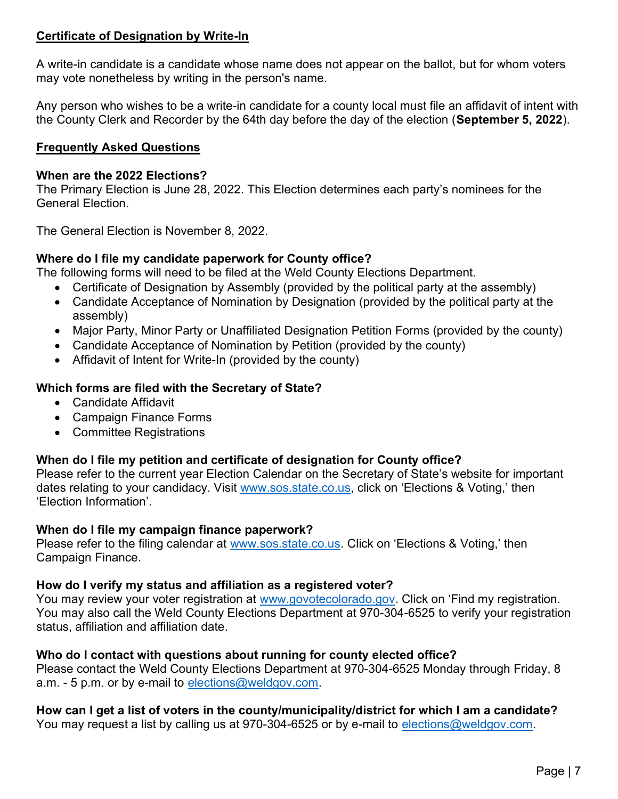# Certificate of Designation by Write-In

A write-in candidate is a candidate whose name does not appear on the ballot, but for whom voters may vote nonetheless by writing in the person's name.

Any person who wishes to be a write-in candidate for a county local must file an affidavit of intent with the County Clerk and Recorder by the 64th day before the day of the election (September 5, 2022).

## Frequently Asked Questions

#### When are the 2022 Elections?

The Primary Election is June 28, 2022. This Election determines each party's nominees for the General Election.

The General Election is November 8, 2022.

## Where do I file my candidate paperwork for County office?

The following forms will need to be filed at the Weld County Elections Department.

- Certificate of Designation by Assembly (provided by the political party at the assembly)
- Candidate Acceptance of Nomination by Designation (provided by the political party at the assembly)
- Major Party, Minor Party or Unaffiliated Designation Petition Forms (provided by the county)
- Candidate Acceptance of Nomination by Petition (provided by the county)
- Affidavit of Intent for Write-In (provided by the county)

## Which forms are filed with the Secretary of State?

- Candidate Affidavit
- Campaign Finance Forms
- Committee Registrations

# When do I file my petition and certificate of designation for County office?

Please refer to the current year Election Calendar on the Secretary of State's website for important dates relating to your candidacy. Visit www.sos.state.co.us, click on 'Elections & Voting,' then 'Election Information'.

## When do I file my campaign finance paperwork?

Please refer to the filing calendar at www.sos.state.co.us. Click on 'Elections & Voting,' then Campaign Finance.

## How do I verify my status and affiliation as a registered voter?

You may review your voter registration at www.govotecolorado.gov. Click on 'Find my registration. You may also call the Weld County Elections Department at 970-304-6525 to verify your registration status, affiliation and affiliation date.

## Who do I contact with questions about running for county elected office?

Please contact the Weld County Elections Department at 970-304-6525 Monday through Friday, 8 a.m. - 5 p.m. or by e-mail to elections@weldgov.com.

# How can I get a list of voters in the county/municipality/district for which I am a candidate?

You may request a list by calling us at 970-304-6525 or by e-mail to elections@weldgov.com.